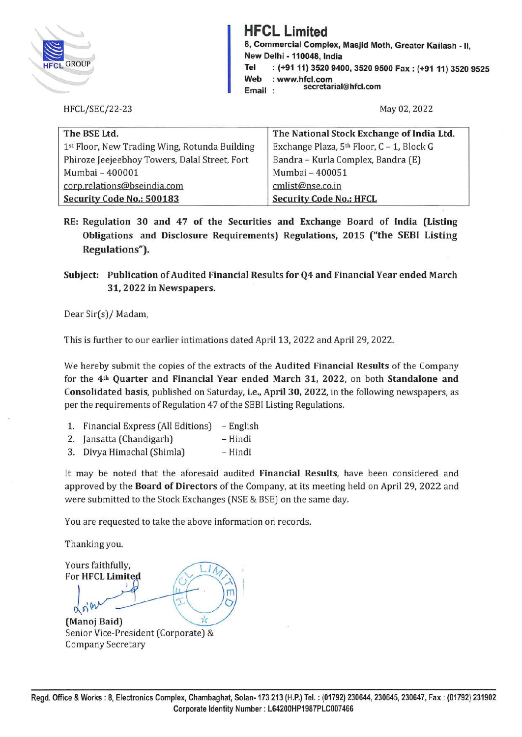

**HFCL Limited**<br> **HFCL Limited**<br> **A** Commercial Complement of the Second Limited<br> **A** Rew Delhi - 110048, In **8, Commercial Complex, Masjid Moth, Greater Kailash** - II, **New Delhi -110048, India Tel : (+91 11) 3520 9400, 3520 9500 Fax: (+91 11) 3520 9525 Web** : **www.hfcl.com Email secretarial@hfcl.com** 

HFCL/SEC/22-23

May 02, 2022

| The BSE Ltd.                                  | The National Stock Exchange of India Ltd. |  |  |  |  |  |  |  |
|-----------------------------------------------|-------------------------------------------|--|--|--|--|--|--|--|
| 1st Floor, New Trading Wing, Rotunda Building | Exchange Plaza, 5th Floor, C - 1, Block G |  |  |  |  |  |  |  |
| Phiroze Jeejeebhoy Towers, Dalal Street, Fort | Bandra - Kurla Complex, Bandra (E)        |  |  |  |  |  |  |  |
| Mumbai - 400001                               | Mumbai - 400051                           |  |  |  |  |  |  |  |
| corp.relations@bseindia.com                   | cmlist@nse.co.in                          |  |  |  |  |  |  |  |
| Security Code No.: 500183                     | <b>Security Code No.: HFCL</b>            |  |  |  |  |  |  |  |

RE: Regulation 30 and 47 of the Securities and Exchange Board of India (Listing **Obligations and Disclosure Requirements) Regulations, 2015 ("the SEBI Listing Regulations").** 

**Subject: Publication of Audited Financial Results for Q4 and Financial Year ended March 31, 2022 in Newspapers.** 

Dear Sir(s)/ Madam,

This is further to our earlier intimations dated April 13, 2022 and April 29, 2022.

We hereby submit the copies of the extracts of the **Audited Financial Results** of the Company for the **4th Quarter and Financial Year ended March 31, 2022,** on both **Standalone and Consolidated basis,** published on Saturday, **i.e., April 30, 2022,** in the following newspapers, as per the requirements of Regulation 47 of the SEBI Listing Regulations.

- 1. Financial Express (All Editions) English
- 2. Jansatta (Chandigarh) Hindi
- 3. Divya Himachal (Shimla) Hindi

It may be noted that the aforesaid audited **Financial Results,** have been considered and approved by the **Board of Directors** of the Company, at its meeting held on April 29, 2022 and were submitted to the Stock Exchanges (NSE & BSE) on the same day.

You are requested to take the above information on records.

Thanking you.

Thanking you.<br>Yours faithfully,<br>For **HFCL Limited** π **(Manoj Baid)** 

Senior Vice-President (Corporate) & Company Secretary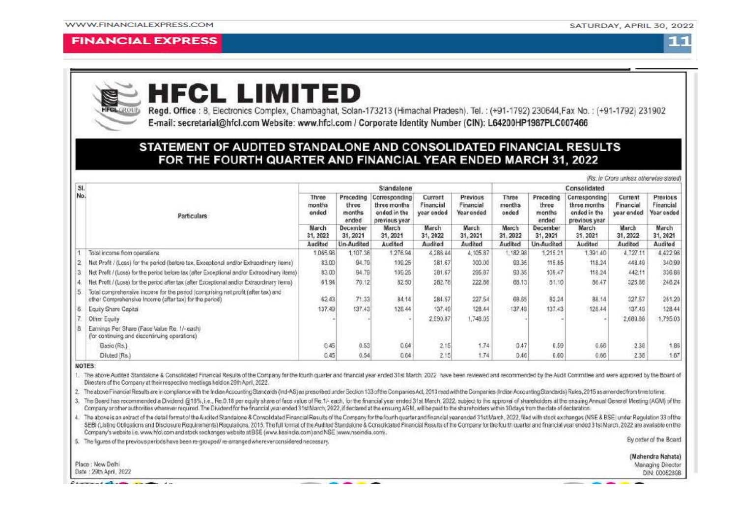#### **FINANCIAL EXPRESS**





## **HFCL LIMITED**

Regd. Office: 8, Electronics Complex, Chambaghat, Solan-173213 (Himachal Pradesh), Tel.: (+91-1792) 230644, Fax No.: (+91-1792) 231902 E-mail: secretarial@hfcl.com Website: www.hfcl.com / Corporate Identity Number (CIN): L64200HP1987PLC007466

### STATEMENT OF AUDITED STANDALONE AND CONSOLIDATED FINANCIAL RESULTS FOR THE FOURTH QUARTER AND FINANCIAL YEAR ENDED MARCH 31, 2022

|     |                                                                                                                                            |                                                          |                                                                             |                                                                                                |                                                                     |                                                                                   |                                                         |                                                                             |                                                                                               | (Rs. in Crore unless otherwise stated)                             |                                                                     |  |
|-----|--------------------------------------------------------------------------------------------------------------------------------------------|----------------------------------------------------------|-----------------------------------------------------------------------------|------------------------------------------------------------------------------------------------|---------------------------------------------------------------------|-----------------------------------------------------------------------------------|---------------------------------------------------------|-----------------------------------------------------------------------------|-----------------------------------------------------------------------------------------------|--------------------------------------------------------------------|---------------------------------------------------------------------|--|
| SI. | <b>Particulars</b>                                                                                                                         | Standalone                                               |                                                                             |                                                                                                |                                                                     |                                                                                   | Consolidated                                            |                                                                             |                                                                                               |                                                                    |                                                                     |  |
| No. |                                                                                                                                            | Three<br>months<br>andad<br>March<br>31, 2022<br>Audited | Preceding<br>three<br>months<br>ended<br>December<br>31, 2021<br>Un-Audited | Corresponding<br>three months<br>ended in the<br>previous year<br>March<br>31, 2021<br>Audited | Current<br>Financial<br>year ended<br>March<br>31, 2022<br>Auditori | Previous<br>Financial<br>Year ended<br><b>March</b><br>31, 2021<br><b>Audited</b> | Three<br>months<br>onded<br>March<br>31.2022<br>Audited | Preceding<br>three<br>months<br>ended<br>December<br>31, 2021<br>Un-Audited | Corresponding<br>three months<br>ended in the<br>previous year<br>March<br>31.2021<br>Audited | Current<br>Financial<br>year ended<br>March<br>31, 2022<br>Audited | Previous<br>Financial<br>Your onded<br>March<br>31, 2021<br>Audited |  |
|     |                                                                                                                                            |                                                          |                                                                             |                                                                                                |                                                                     |                                                                                   |                                                         |                                                                             |                                                                                               |                                                                    |                                                                     |  |
|     |                                                                                                                                            |                                                          |                                                                             |                                                                                                |                                                                     |                                                                                   |                                                         |                                                                             |                                                                                               |                                                                    |                                                                     |  |
|     | Total income from operations                                                                                                               | 1065.96                                                  | 1.107.36                                                                    | 1276.94                                                                                        | 4,286.44                                                            | 4,105.87                                                                          | 18298                                                   | 1,215.21                                                                    | 1.391.40                                                                                      | 4.727.11                                                           | 4.422.96                                                            |  |
|     | Net Profit / (Loss) for the period (before tax, Exceptional and/or Extraordinary items)                                                    | 83.00                                                    | 94.79                                                                       | 109.25                                                                                         | 381.67                                                              | 300.00                                                                            | 93.35                                                   | 116.85                                                                      | 118.24                                                                                        | 448.49                                                             | 340.99                                                              |  |
|     | Net Profit / (Loss) for the period before tax (after Exceptional and/or Extraordinary items)                                               | 83.00                                                    | 94.79                                                                       | 109.25                                                                                         | 381.67                                                              | 295.87                                                                            | 93.35                                                   | 109.47                                                                      | 118.24                                                                                        | 442.11                                                             | 336.86                                                              |  |
|     | Net Profit / (Loss) for the period after tax (after Exceptional and/or Extraordinary items)                                                | 61.94                                                    | 70.12                                                                       | 82.50                                                                                          | 262.78                                                              | 222.86                                                                            | 68.15                                                   | 81.10                                                                       | 86.47                                                                                         | 325.86                                                             | 246.24                                                              |  |
| 5   | Total comprehensive income for the period (comprising net profit (after tax) and<br>ether Comprehensive Income (after tax) for the period) | 62.43                                                    | 71.33                                                                       | 84.14                                                                                          | 284.67                                                              | 227.54                                                                            | 68.65                                                   | 82.24                                                                       | 88.14                                                                                         | 327.57                                                             | 251.20                                                              |  |
| в   | Equity Share Capital                                                                                                                       | 137.49                                                   | 137.43                                                                      | 126.44                                                                                         | 137.49                                                              | 129.44                                                                            | 137.49                                                  | 137.43                                                                      | 128.44                                                                                        | 137.49                                                             | 128.44                                                              |  |
|     | Other Equity                                                                                                                               |                                                          |                                                                             |                                                                                                | 2,590.87                                                            | 1,748.05                                                                          |                                                         |                                                                             |                                                                                               | 2,680.88                                                           | 1,795.03                                                            |  |
|     | Earnings Per Share (Face Value Re. 1/- each)<br>(for continuing and discontinuing operations)                                              |                                                          |                                                                             |                                                                                                |                                                                     |                                                                                   |                                                         |                                                                             |                                                                                               |                                                                    |                                                                     |  |
|     | Basic (Rs.)                                                                                                                                | 0.45                                                     | 0.53                                                                        | 0.64                                                                                           | 2.15                                                                | 1.74                                                                              | 0.47                                                    | 0.59                                                                        | 0.66                                                                                          | 2.38                                                               | 1.86                                                                |  |
|     | Diuted (Rs.)                                                                                                                               | 0.45                                                     | 0.54                                                                        | 0.04                                                                                           | 2,15                                                                | 1.74                                                                              | 0.46                                                    | 0.00                                                                        | 0.66                                                                                          | 2.38                                                               | 1.67                                                                |  |

NOTES:

1. The above Audited Standalone & Consolidated Financial Results of the Company for the fourth quarter and financial year ended 31st March 2022 have been reviewed and recommended by the Audit Committee and were approved by Directors of the Company at their respective meetings held on 29th April, 2022.

2. The above Financial Results are in compliance with the Indian Accounting Standards (ind-AS) as prescribed under Section 133 of the Companies Act, 2013 read with the Companies (indian Accounting Standards) Rules, 2015 as

3. The Board has recommended a Dividend @18%, i.e., Re.0.18 per equity share of face value of Re.1- each, for the financial year ended 31st March, 2022, subject to the approval of shareholders at the ensuing Annual General Company profner authorities wherever recursed. The Dividend for the financial year ended 31st March, 2022, if declared at the ensuring AGM, will be paid to the shareholders within 30 days from the date of declaration.

4. The above is an extract of the detail format of the Audited Standalone & Consolidated Financial Results of the Company for the fourth quarter and financial vear ended 31st March, 2022, filed with stock exchanges (NSE & SEBI (Listing Obligations and Disclosure Requirements) Requiations, 2015. The full format of the Audited Standalone & Consolidated Financial Results of the Company for the fourth quarter and financial year ended 31st March Company's website i.e. www.hfcl.com and stock exchanges website at BSE (www.basindia.com) and NSE (www.nseindia.com).

5. The figures of the previous periods have been re-grouped/re-arranged wherever considered necessary.

By order of the Board

(Mahendra Nahata) Managing Director DIN: 00052898

Commercial allegation and commercial

Place : New Delhi

Date: 29th April, 2022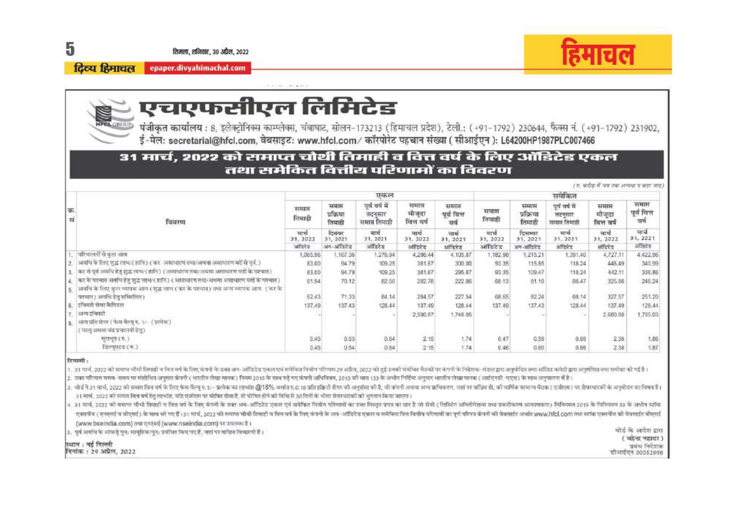शिमला, शनिवार, 30 अप्रैल, 2022

दिव्य हिमाचल epaper.divyahimachal.com



# एचएफसीएल लिमिटेड

पंजीकृत कार्यालय : 8, इलेक्ट्रोनिक्स काम्प्लेक्स, चंबाघाट, सोलन-173213 (हिमाचल प्रदेश), टेली.: (+91–1792) 230644, फैक्स नं. (+91–1792) 231902,<br>ई-मेल: secretarial@hfcl.com, वेबसाइट: www.hfcl.com/ कॉरपोरेट पहचान संख्या ( सी

### 31 मार्च, 2022 को समाप्त चौथी तिमाही व वित्त वर्ष के लिए ऑडिटेड एकल तथा समेकित वित्तीय परिणामों का विवरण

|          |                                                                                                                                                                             |                                       |                                                     |                                                                |                                                     |                                                   |                                       | ार, क्रेसेक में जब तक अन्यथा न कहा जाए.              |                                                                 |                                                    |                               |  |  |
|----------|-----------------------------------------------------------------------------------------------------------------------------------------------------------------------------|---------------------------------------|-----------------------------------------------------|----------------------------------------------------------------|-----------------------------------------------------|---------------------------------------------------|---------------------------------------|------------------------------------------------------|-----------------------------------------------------------------|----------------------------------------------------|-------------------------------|--|--|
| 蕲.<br>सं | विवरण                                                                                                                                                                       | एकल                                   |                                                     |                                                                |                                                     |                                                   | समेकित                                |                                                      |                                                                 |                                                    |                               |  |  |
|          |                                                                                                                                                                             | समाप्त<br>तिमाही<br>मार्थ<br>31, 2022 | समाप्त<br>प्रक्रिया<br>तियाही<br>दिसवार<br>31, 2021 | पर्व वर्ष में<br>तदनस्वर<br>समाप्त लिमाही<br>मार्च<br>31, 2021 | समाप्त<br>मोजूदा<br>वित्त वर्ष<br>मार्थ<br>31, 2022 | समाप्त<br>पर्व वित्त<br>वर्ष<br>मार्च<br>31, 2021 | समाप्त<br>तिमाही<br>मार्थ<br>31, 2022 | समाप्त<br>प्रक्रिया<br>तिमाही<br>दिसम्बर<br>31, 2021 | पर्व वर्ष में<br>तदनसार<br>समाप्त तिमात्री<br>मार्च<br>31, 2021 | समाप्त<br>मीजला<br>वित्त वर्ष<br>मार्च<br>31, 2022 | समाप्त<br>पूर्व वित्त<br>चर्च |  |  |
|          |                                                                                                                                                                             |                                       |                                                     |                                                                |                                                     |                                                   |                                       |                                                      |                                                                 |                                                    | मार्च<br>31, 2021             |  |  |
|          |                                                                                                                                                                             | अहिरोड                                | अन-अहिंदेह                                          | ऑडिटेड                                                         | अहिंदे द                                            | ऑहिटेड                                            | ऑस्टिड                                | अन-आर्थिहरू                                          | ऑडिटेड                                                          | अतिहरे ह                                           | ऑखिटेड                        |  |  |
|          | परिवालनों से कल अस्य                                                                                                                                                        | 1,065.96                              | 1,107.36                                            | 1.276.94                                                       | 4,286.44                                            | 4,105.87                                          | 1,182.98                              | 1,215.21                                             | 1,391.40                                                        | 4,727.11                                           | 4,422.96                      |  |  |
|          | अवधि के लिए शुद्ध लाभ/( हानि) ( कर- असाधारण तथा/अथवा असाधारण मदें से पूर्व, )                                                                                               | 83.00                                 | 94.79                                               | 109.25                                                         | 381.67                                              | 300.00                                            | 93.35                                 | 115.85                                               | 118.24                                                          | 448.49                                             | 340.99                        |  |  |
|          | का से पूर्व अर्थाप हेतु शुद्ध लाभ/(हानि) (असाधारण तथा/अयंवा असाधारण मदों के पश्चात)                                                                                         | 83.00                                 | 94.79                                               | 109.25                                                         | 381.67                                              | 295.87                                            | 93.35                                 | 109.47                                               | 118.24                                                          | 442.11                                             | 336,86                        |  |  |
|          | कर के परचार अवधि हेरू शुद्ध लाभ/( हानि ) ( अस्तथारण तथा/अथवा असाधारण मर्दो के पश्चात् )<br>अवधि के लिए कुल व्यापक आप (शुद्ध लाभ (कर के पश्चात) तथा अन्य व्यापक अत्य- (कर के | 61.94                                 | 70.12                                               | 82.50                                                          | 282.78                                              | 222.86                                            | 58.13                                 | 81.10                                                | 86.47<br><b>STATISTICS</b>                                      | 325.86<br>3053                                     | 246.24<br>889                 |  |  |
|          | पत्रचल) अर्थांचे हेतु समितीला)                                                                                                                                              | 62.43                                 | 71.33                                               | 84.14                                                          | 284.57                                              | 227.54                                            | 68.65                                 | 82.24                                                | 88.14                                                           | 327.57                                             | 251.20                        |  |  |
|          | इक्लिटी शेयर कैपिटल                                                                                                                                                         | 137.49                                | 137.43                                              | 128.44                                                         | 137.49                                              | 128.44                                            | 137.49                                | 137.43                                               | 128.44                                                          | 137.49                                             | 128.44                        |  |  |
|          | अन्य इक्विटी                                                                                                                                                                |                                       |                                                     |                                                                | 2,590.87                                            | 1,748.05                                          |                                       |                                                      |                                                                 | 2.680.88                                           | 1.795.03                      |  |  |
|          | उसय प्रति प्रेयर ( फेस वेंस्य रू. १/- ( प्रत्येक)<br>( चालु अथवा चंद प्रचालनों हेत्)                                                                                        |                                       |                                                     |                                                                |                                                     |                                                   |                                       |                                                      |                                                                 |                                                    |                               |  |  |
|          | मुलभूत ( रु. )                                                                                                                                                              | 0.45                                  | 0.53                                                | 0.64                                                           | 2.15                                                | 1.74                                              | 0.47                                  | 0.59                                                 | 0.66                                                            | 2.38                                               | 1.86                          |  |  |
|          | डिल्युएस्ट'ड ( रु. )                                                                                                                                                        | 0.45                                  | 0.54                                                | 0.84                                                           | 2.15                                                | 1.74                                              | 0.46                                  | 0.60                                                 | 0.66                                                            | 2.38                                               | 1,87                          |  |  |

दि प्राण्याति ।

1. 31 मार्च, 2022 को समाज जीपी तिमाही ब बित वर्ष के लिए कंपनी के उन्ह अन-ऑहटेड एकल एवं समेकि विजीव परिणम 20 अप्रैल, 2022 को हर्ड उनको संबंधित केली पर कंपनी के निदेशक- मंडल इस अनुमोदित तथा अधिट कमेटी द्वारा अनुमोदित तथा अधि

2. उस्त परिणय समय-समय पर संशोधित अनुसार कंपनी (भारतीय लेखा मलक) नियम 2015 के साथ पढे गए कंपनी अधिकार आगे आगे आगे निर्दिष्ट अनुसार भारतीय लेखा मानक (आईएनडी-एएस) के साथ अनुपालना में है।

3. बोर्ड ने 21 मार्च, 2022 को समाजित वर्ष के लिए फेस कैल फ.1/- प्रत्येक का लाभांश @18% अर्थत 6.0.18 प्रति इक्षन की अरबल की है, जो बंधनी अख्बा अन्य प्रशिक्षना, जहां पर पाछित हो, को नार्थिक समान्य बैठक ( एजीएम) पर शेयरथारकों 31 मार्च, 2022 को समाग वित्त वर्ष हैत लाभांड, पांट एजीएम पर घोषित होकारे, तो घोषित होने की तिथि से 20 दिनों के भीतर प्रेयरधारकों को भगतान किया जाएगा।

4. 31 मार्च, 2022 को समाज बीचो तिमारी व वित की लिए कंपनी के उका अन-ऑडिटेट एकल एवं समेकित वित्तिय विशाल का अन्य का सार है जो सेवी ( लिस्टिंग ऑस्टीफन्स तथा प्रकटीकरण आवश्यकता) विनियमन 2015 के विनियमन 32 के अधीन स्टॉक एक्सपेंज ( एनएसई व बीएसई) के साथ भरे गए हैं : 31 मार्च, 2022 को समाज बीथी तिमाडी थ विश कंपनी के अन-ऑडिटेंड एकल व समेकित विश दिशीय परिणामों का पूर्ण परिपत्र कंपनी की वैबसाईट अर्थात www.hicl.com तथा स्टॉक एक्सपेंज को पेक्सई (www.bseindia.com) तथा एनएसई (www.nseindia.com) पर उपलब्ध है। थोज के आदेश द्वारा

5. यहाँ अवत्ति के आंकड़े पन: मामविक/पन: प्रयंभित विष्णु गए हैं, जहाँ पर नांडित विन्यारणी हैं। ( पहेन्द्र नहाटा ) स्थान: नई दिल्ली प्रबंध निदेशक विनांक : 29 अप्रैल, 2022 डीआईएन 00052898